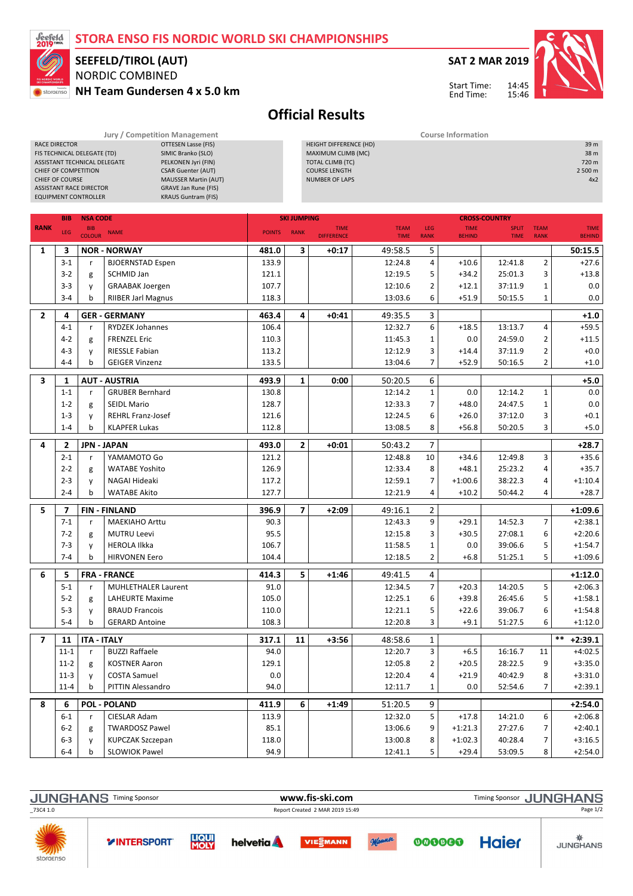### STORA ENSO FIS NORDIC WORLD SKI CHAMPIONSHIPS



ASSISTANT TECHNICAL DELEGATE

### NORDIC COMBINED SEEFELD/TIROL (AUT)

RACE DIRECTOR **CONTROLL CONTROLL CONTROLL CONTROLL**<br>FISTECHNICAL DELEGATE (TD) SIMIC Branko (SLO) FIS TECHNICAL DELEGATE (TD) SIMIC Branko (SLO)<br>ASSISTANT TECHNICAL DELEGATE PELKONEN Jyri (FIN)

NH Team Gundersen 4 x 5.0 km



14:45 15:46 Start Time: End Time:

HEIGHT DIFFERENCE (HD) 39 m MAXIMUM CLIMB (MC) 38 m



# Official Results

TOTAL CLIMB (TC)

Jury / Competition Management **Course Information** 

|                | CHIEF OF COURSE               | CHIEF OF COMPETITION<br><b>ASSISTANT RACE DIRECTOR</b><br><b>EQUIPMENT CONTROLLER</b> | <b>CSAR Guenter (AUT)</b><br><b>MAUSSER Martin (AUT)</b><br><b>GRAVE Jan Rune (FIS)</b><br><b>KRAUS Guntram (FIS)</b> |               |                    | <b>COURSE LENGTH</b><br><b>NUMBER OF LAPS</b> |                            |                    |                              |                             |                            | 2 500 m<br>4x2               |
|----------------|-------------------------------|---------------------------------------------------------------------------------------|-----------------------------------------------------------------------------------------------------------------------|---------------|--------------------|-----------------------------------------------|----------------------------|--------------------|------------------------------|-----------------------------|----------------------------|------------------------------|
|                | <b>NSA CODE</b><br><b>BIB</b> |                                                                                       |                                                                                                                       |               | <b>SKI JUMPING</b> |                                               |                            |                    |                              | <b>CROSS-COUNTRY</b>        |                            |                              |
| <b>RANK</b>    | LEG                           | <b>BIB</b><br><b>COLOUR</b>                                                           | <b>NAME</b>                                                                                                           | <b>POINTS</b> | <b>RANK</b>        | <b>TIME</b><br><b>DIFFERENCE</b>              | <b>TEAM</b><br><b>TIME</b> | LEG<br><b>RANK</b> | <b>TIME</b><br><b>BEHIND</b> | <b>SPLIT</b><br><b>TIME</b> | <b>TEAM</b><br><b>RANK</b> | <b>TIME</b><br><b>BEHIND</b> |
| 1              | 3                             |                                                                                       | <b>NOR - NORWAY</b>                                                                                                   | 481.0         | 3                  | +0:17                                         | 49:58.5                    | 5                  |                              |                             |                            | 50:15.5                      |
|                | $3 - 1$                       | r                                                                                     | <b>BJOERNSTAD Espen</b>                                                                                               | 133.9         |                    |                                               | 12:24.8                    | 4                  | $+10.6$                      | 12:41.8                     | $\overline{2}$             | $+27.6$                      |
|                | $3-2$                         | g                                                                                     | SCHMID Jan                                                                                                            | 121.1         |                    |                                               | 12:19.5                    | 5                  | $+34.2$                      | 25:01.3                     | 3                          | $+13.8$                      |
|                | $3-3$                         | y                                                                                     | <b>GRAABAK Joergen</b>                                                                                                | 107.7         |                    |                                               | 12:10.6                    | 2                  | $+12.1$                      | 37:11.9                     | $\mathbf 1$                | 0.0                          |
|                | $3 - 4$                       | b                                                                                     | <b>RIIBER Jarl Magnus</b>                                                                                             | 118.3         |                    |                                               | 13:03.6                    | 6                  | $+51.9$                      | 50:15.5                     | $\mathbf{1}$               | 0.0                          |
| $\overline{2}$ | 4                             |                                                                                       | <b>GER - GERMANY</b>                                                                                                  | 463.4         | 4                  | +0:41                                         | 49:35.5                    | 3                  |                              |                             |                            | $+1.0$                       |
|                | $4 - 1$                       | r                                                                                     | <b>RYDZEK Johannes</b>                                                                                                | 106.4         |                    |                                               | 12:32.7                    | 6                  | $+18.5$                      | 13:13.7                     | 4                          | $+59.5$                      |
|                | $4 - 2$                       | g                                                                                     | <b>FRENZEL Eric</b>                                                                                                   | 110.3         |                    |                                               | 11:45.3                    | 1                  | 0.0                          | 24:59.0                     | 2                          | $+11.5$                      |
|                | $4 - 3$                       | y                                                                                     | <b>RIESSLE Fabian</b>                                                                                                 | 113.2         |                    |                                               | 12:12.9                    | 3                  | $+14.4$                      | 37:11.9                     | $\overline{2}$             | $+0.0$                       |
|                | $4 - 4$                       | b                                                                                     | <b>GEIGER Vinzenz</b>                                                                                                 | 133.5         |                    |                                               | 13:04.6                    | 7                  | $+52.9$                      | 50:16.5                     | $\overline{2}$             | $+1.0$                       |
| 3              | 1                             |                                                                                       | <b>AUT - AUSTRIA</b>                                                                                                  | 493.9         | $\mathbf{1}$       | 0:00                                          | 50:20.5                    | 6                  |                              |                             |                            | $+5.0$                       |
|                | $1 - 1$                       | r                                                                                     | <b>GRUBER Bernhard</b>                                                                                                | 130.8         |                    |                                               | 12:14.2                    | $\mathbf{1}$       | 0.0                          | 12:14.2                     | $\mathbf{1}$               | 0.0                          |
|                | $1 - 2$                       | g                                                                                     | <b>SEIDL Mario</b>                                                                                                    | 128.7         |                    |                                               | 12:33.3                    | 7                  | $+48.0$                      | 24:47.5                     | $\mathbf{1}$               | 0.0                          |
|                | $1 - 3$                       | y                                                                                     | <b>REHRL Franz-Josef</b>                                                                                              | 121.6         |                    |                                               | 12:24.5                    | 6                  | $+26.0$                      | 37:12.0                     | 3                          | $+0.1$                       |
|                | $1 - 4$                       | b                                                                                     | <b>KLAPFER Lukas</b>                                                                                                  | 112.8         |                    |                                               | 13:08.5                    | 8                  | $+56.8$                      | 50:20.5                     | 3                          | $+5.0$                       |
| 4              | $\overline{\mathbf{2}}$       |                                                                                       | <b>JPN - JAPAN</b>                                                                                                    | 493.0         | $\overline{2}$     | +0:01                                         | 50:43.2                    | 7                  |                              |                             |                            | $+28.7$                      |
|                | $2 - 1$                       | r                                                                                     | YAMAMOTO Go                                                                                                           | 121.2         |                    |                                               | 12:48.8                    | 10                 | $+34.6$                      | 12:49.8                     | 3                          | $+35.6$                      |
|                | $2 - 2$                       | g                                                                                     | <b>WATABE Yoshito</b>                                                                                                 | 126.9         |                    |                                               | 12:33.4                    | 8                  | $+48.1$                      | 25:23.2                     | 4                          | $+35.7$                      |
|                | $2 - 3$                       | y                                                                                     | NAGAI Hideaki                                                                                                         | 117.2         |                    |                                               | 12:59.1                    | 7                  | $+1:00.6$                    | 38:22.3                     | 4                          | $+1:10.4$                    |
|                | $2 - 4$                       | b                                                                                     | <b>WATABE Akito</b>                                                                                                   | 127.7         |                    |                                               | 12:21.9                    | 4                  | $+10.2$                      | 50:44.2                     | 4                          | $+28.7$                      |
| 5              | 7                             |                                                                                       | <b>FIN-FINLAND</b>                                                                                                    | 396.9         | 7                  | $+2:09$                                       | 49:16.1                    | 2                  |                              |                             |                            | $+1:09.6$                    |
|                | $7 - 1$                       | r                                                                                     | <b>MAEKIAHO Arttu</b>                                                                                                 | 90.3          |                    |                                               | 12:43.3                    | 9                  | $+29.1$                      | 14:52.3                     | $\overline{7}$             | $+2:38.1$                    |
|                | $7 - 2$                       | g                                                                                     | <b>MUTRU Leevi</b>                                                                                                    | 95.5          |                    |                                               | 12:15.8                    | 3                  | $+30.5$                      | 27:08.1                     | 6                          | $+2:20.6$                    |
|                | $7 - 3$                       | y                                                                                     | <b>HEROLA Ilkka</b>                                                                                                   | 106.7         |                    |                                               | 11:58.5                    | $\mathbf{1}$       | 0.0                          | 39:06.6                     | 5                          | $+1:54.7$                    |
|                | $7 - 4$                       | b                                                                                     | <b>HIRVONEN Eero</b>                                                                                                  | 104.4         |                    |                                               | 12:18.5                    | $\overline{2}$     | $+6.8$                       | 51:25.1                     | 5                          | $+1:09.6$                    |
|                |                               |                                                                                       |                                                                                                                       |               |                    |                                               |                            |                    |                              |                             |                            |                              |
| 6              | 5                             |                                                                                       | <b>FRA - FRANCE</b>                                                                                                   | 414.3         | 5                  | $+1:46$                                       | 49:41.5                    | 4                  |                              |                             |                            | $+1:12.0$                    |
|                | $5 - 1$                       | r                                                                                     | <b>MUHLETHALER Laurent</b>                                                                                            | 91.0          |                    |                                               | 12:34.5                    | 7                  | $+20.3$                      | 14:20.5                     | 5                          | $+2:06.3$                    |
|                | $5 - 2$                       | g                                                                                     | <b>LAHEURTE Maxime</b>                                                                                                | 105.0         |                    |                                               | 12:25.1                    | 6                  | $+39.8$                      | 26:45.6                     | 5                          | $+1:58.1$                    |
|                | $5 - 3$<br>$5 - 4$            | у                                                                                     | <b>BRAUD Francois</b>                                                                                                 | 110.0         |                    |                                               | 12:21.1                    | 5                  | $+22.6$                      | 39:06.7                     | 6                          | $+1:54.8$                    |
|                |                               | b                                                                                     | <b>GERARD Antoine</b>                                                                                                 | 108.3         |                    |                                               | 12:20.8                    | 3                  | $+9.1$                       | 51:27.5                     | 6                          | $+1:12.0$                    |
| $\overline{7}$ | 11                            | <b>ITA - ITALY</b>                                                                    |                                                                                                                       | 317.1         | 11                 | +3:56                                         | 48:58.6                    | $\mathbf{1}$       |                              |                             |                            | $***$<br>$+2:39.1$           |
|                | $11 - 1$                      | r                                                                                     | <b>BUZZI Raffaele</b>                                                                                                 | 94.0          |                    |                                               | 12:20.7                    | 3                  | $+6.5$                       | 16:16.7                     | 11                         | $+4:02.5$                    |
|                | $11-2$                        | g                                                                                     | <b>KOSTNER Aaron</b>                                                                                                  | 129.1         |                    |                                               | 12:05.8                    | 2                  | $+20.5$                      | 28:22.5                     | 9                          | $+3:35.0$                    |
|                | $11-3$                        | y                                                                                     | <b>COSTA Samuel</b>                                                                                                   | 0.0           |                    |                                               | 12:20.4                    | 4                  | $+21.9$                      | 40:42.9                     | 8                          | $+3:31.0$                    |
|                | $11 - 4$                      | b                                                                                     | PITTIN Alessandro                                                                                                     | 94.0          |                    |                                               | 12:11.7                    | 1                  | 0.0                          | 52:54.6                     | 7                          | $+2:39.1$                    |
| 8              | 6                             |                                                                                       | <b>POL - POLAND</b>                                                                                                   | 411.9         | 6                  | $+1:49$                                       | 51:20.5                    | 9                  |                              |                             |                            | $+2:54.0$                    |
|                | $6 - 1$                       | r                                                                                     | CIESLAR Adam                                                                                                          | 113.9         |                    |                                               | 12:32.0                    | 5                  | $+17.8$                      | 14:21.0                     | 6                          | $+2:06.8$                    |
|                | $6-2$                         | g                                                                                     | <b>TWARDOSZ Pawel</b>                                                                                                 | 85.1          |                    |                                               | 13:06.6                    | 9                  | $+1:21.3$                    | 27:27.6                     | 7                          | $+2:40.1$                    |
|                | $6 - 3$                       | y                                                                                     | KUPCZAK Szczepan                                                                                                      | 118.0         |                    |                                               | 13:00.8                    | 8                  | $+1:02.3$                    | 40:28.4                     | 7                          | $+3:16.5$                    |
|                | 6-4                           | b                                                                                     | <b>SLOWIOK Pawel</b>                                                                                                  | 94.9          |                    |                                               | 12:41.1                    | 5                  | $+29.4$                      | 53:09.5                     | 8                          | $+2:54.0$                    |